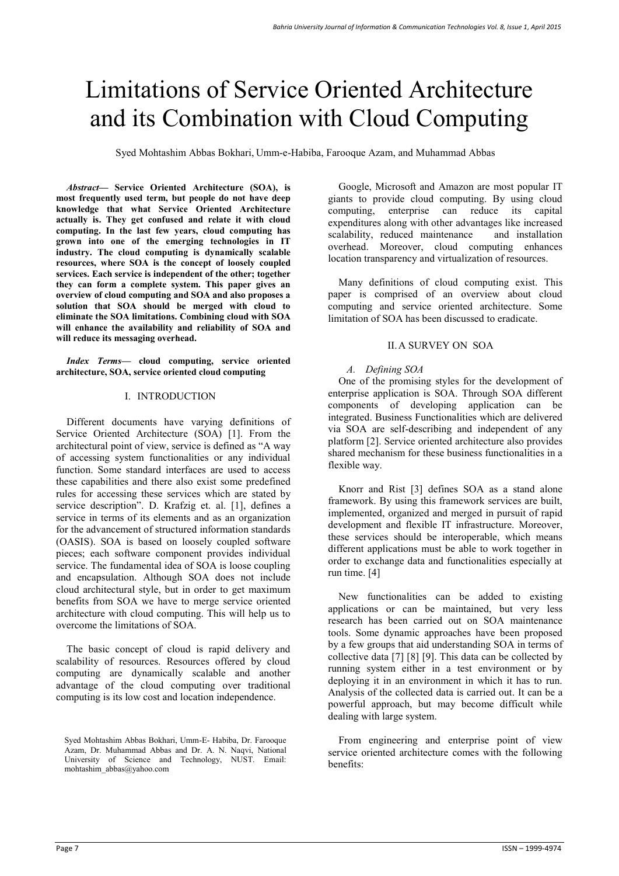# Limitations of Service Oriented Architecture and its Combination with Cloud Computing

Syed Mohtashim Abbas Bokhari, Umm-e-Habiba, Farooque Azam, and Muhammad Abbas

*Abstract***— Service Oriented Architecture (SOA), is most frequently used term, but people do not have deep knowledge that what Service Oriented Architecture actually is. They get confused and relate it with cloud computing. In the last few years, cloud computing has grown into one of the emerging technologies in IT industry. The cloud computing is dynamically scalable resources, where SOA is the concept of loosely coupled services. Each service is independent of the other; together they can form a complete system. This paper gives an overview of cloud computing and SOA and also proposes a solution that SOA should be merged with cloud to eliminate the SOA limitations. Combining cloud with SOA will enhance the availability and reliability of SOA and will reduce its messaging overhead.** 

*Index Terms***— cloud computing, service oriented architecture, SOA, service oriented cloud computing** 

#### I. INTRODUCTION

 Different documents have varying definitions of Service Oriented Architecture (SOA) [1]. From the architectural point of view, service is defined as "A way of accessing system functionalities or any individual function. Some standard interfaces are used to access these capabilities and there also exist some predefined rules for accessing these services which are stated by service description". D. Krafzig et. al. [1], defines a service in terms of its elements and as an organization for the advancement of structured information standards (OASIS). SOA is based on loosely coupled software pieces; each software component provides individual service. The fundamental idea of SOA is loose coupling and encapsulation. Although SOA does not include cloud architectural style, but in order to get maximum benefits from SOA we have to merge service oriented architecture with cloud computing. This will help us to overcome the limitations of SOA.

 The basic concept of cloud is rapid delivery and scalability of resources. Resources offered by cloud computing are dynamically scalable and another advantage of the cloud computing over traditional computing is its low cost and location independence.

Google, Microsoft and Amazon are most popular IT giants to provide cloud computing. By using cloud computing, enterprise can reduce its capital expenditures along with other advantages like increased scalability, reduced maintenance and installation overhead. Moreover, cloud computing enhances location transparency and virtualization of resources.

 Many definitions of cloud computing exist. This paper is comprised of an overview about cloud computing and service oriented architecture. Some limitation of SOA has been discussed to eradicate.

#### II.A SURVEY ON SOA

#### *A. Defining SOA*

 One of the promising styles for the development of enterprise application is SOA. Through SOA different components of developing application can be integrated. Business Functionalities which are delivered via SOA are self-describing and independent of any platform [2]. Service oriented architecture also provides shared mechanism for these business functionalities in a flexible way.

 Knorr and Rist [3] defines SOA as a stand alone framework. By using this framework services are built, implemented, organized and merged in pursuit of rapid development and flexible IT infrastructure. Moreover, these services should be interoperable, which means different applications must be able to work together in order to exchange data and functionalities especially at run time. [4]

 New functionalities can be added to existing applications or can be maintained, but very less research has been carried out on SOA maintenance tools. Some dynamic approaches have been proposed by a few groups that aid understanding SOA in terms of collective data [7] [8] [9]. This data can be collected by running system either in a test environment or by deploying it in an environment in which it has to run. Analysis of the collected data is carried out. It can be a powerful approach, but may become difficult while dealing with large system.

 From engineering and enterprise point of view service oriented architecture comes with the following benefits:

Syed Mohtashim Abbas Bokhari, Umm-E- Habiba, Dr. Farooque Azam, Dr. Muhammad Abbas and Dr. A. N. Naqvi, National University of Science and Technology, NUST. Email: mohtashim\_abbas@yahoo.com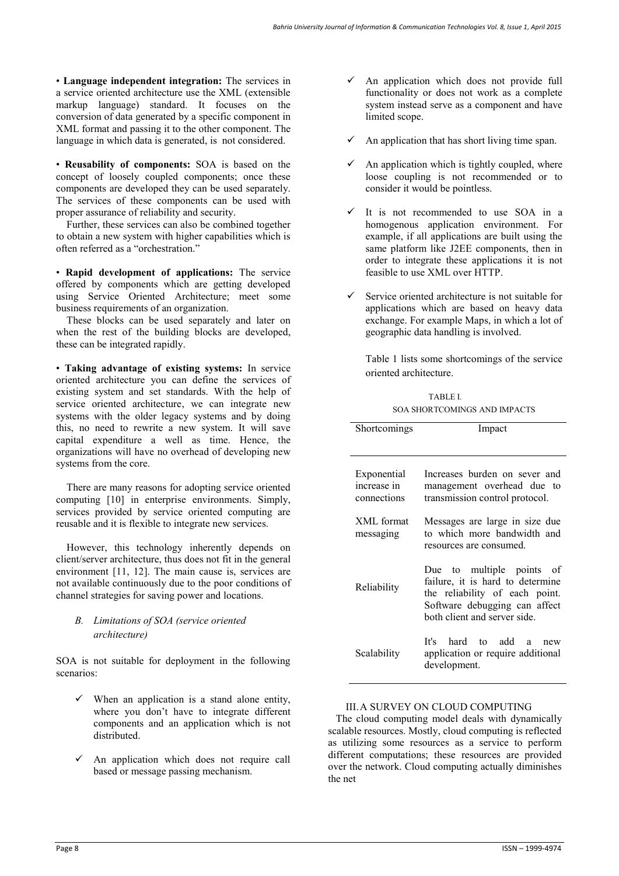• **Language independent integration:** The services in a service oriented architecture use the XML (extensible markup language) standard. It focuses on the conversion of data generated by a specific component in XML format and passing it to the other component. The language in which data is generated, is not considered.

• **Reusability of components:** SOA is based on the concept of loosely coupled components; once these components are developed they can be used separately. The services of these components can be used with proper assurance of reliability and security.

 Further, these services can also be combined together to obtain a new system with higher capabilities which is often referred as a "orchestration."

• **Rapid development of applications:** The service offered by components which are getting developed using Service Oriented Architecture; meet some business requirements of an organization.

 These blocks can be used separately and later on when the rest of the building blocks are developed, these can be integrated rapidly.

• **Taking advantage of existing systems:** In service oriented architecture you can define the services of existing system and set standards. With the help of service oriented architecture, we can integrate new systems with the older legacy systems and by doing this, no need to rewrite a new system. It will save capital expenditure a well as time. Hence, the organizations will have no overhead of developing new systems from the core.

 There are many reasons for adopting service oriented computing [10] in enterprise environments. Simply, services provided by service oriented computing are reusable and it is flexible to integrate new services.

 However, this technology inherently depends on client/server architecture, thus does not fit in the general environment [11, 12]. The main cause is, services are not available continuously due to the poor conditions of channel strategies for saving power and locations.

## *B. Limitations of SOA (service oriented architecture)*

SOA is not suitable for deployment in the following scenarios:

- When an application is a stand alone entity, where you don't have to integrate different components and an application which is not distributed.
- $\checkmark$  An application which does not require call based or message passing mechanism.
- An application which does not provide full functionality or does not work as a complete system instead serve as a component and have limited scope.
- $\checkmark$  An application that has short living time span.
- $\checkmark$  An application which is tightly coupled, where loose coupling is not recommended or to consider it would be pointless.
- It is not recommended to use SOA in a homogenous application environment. For example, if all applications are built using the same platform like J2EE components, then in order to integrate these applications it is not feasible to use XML over HTTP.
- Service oriented architecture is not suitable for applications which are based on heavy data exchange. For example Maps, in which a lot of geographic data handling is involved.

Table 1 lists some shortcomings of the service oriented architecture.

| TABLE L                             |  |
|-------------------------------------|--|
| <b>SOA SHORTCOMINGS AND IMPACTS</b> |  |

| Shortcomings                              | Impact                                                                                                                                                          |
|-------------------------------------------|-----------------------------------------------------------------------------------------------------------------------------------------------------------------|
| Exponential<br>increase in<br>connections | Increases burden on sever and<br>management overhead due to<br>transmission control protocol.                                                                   |
| XML format<br>messaging                   | Messages are large in size due<br>to which more bandwidth and<br>resources are consumed.                                                                        |
| Reliability                               | Due to multiple points of<br>failure, it is hard to determine<br>the reliability of each point.<br>Software debugging can affect<br>both client and server side |
| Scalability                               | It's hard to add a<br>new<br>application or require additional<br>development.                                                                                  |

### III.A SURVEY ON CLOUD COMPUTING

 The cloud computing model deals with dynamically scalable resources. Mostly, cloud computing is reflected as utilizing some resources as a service to perform different computations; these resources are provided over the network. Cloud computing actually diminishes the net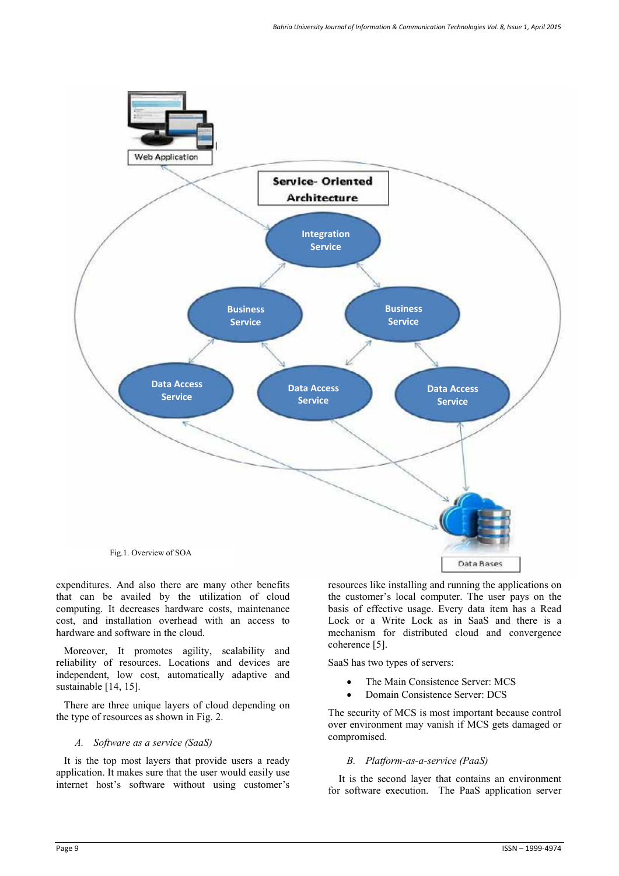

expenditures. And also there are many other benefits that can be availed by the utilization of cloud computing. It decreases hardware costs, maintenance cost, and installation overhead with an access to hardware and software in the cloud.

 Moreover, It promotes agility, scalability and reliability of resources. Locations and devices are independent, low cost, automatically adaptive and sustainable [14, 15].

 There are three unique layers of cloud depending on the type of resources as shown in Fig. 2.

#### *A. Software as a service (SaaS)*

 It is the top most layers that provide users a ready application. It makes sure that the user would easily use internet host's software without using customer's

resources like installing and running the applications on the customer's local computer. The user pays on the basis of effective usage. Every data item has a Read Lock or a Write Lock as in SaaS and there is a mechanism for distributed cloud and convergence coherence [5].

SaaS has two types of servers:

- The Main Consistence Server: MCS
- Domain Consistence Server: DCS

The security of MCS is most important because control over environment may vanish if MCS gets damaged or compromised.

#### *B. Platform-as-a-service (PaaS)*

 It is the second layer that contains an environment for software execution. The PaaS application server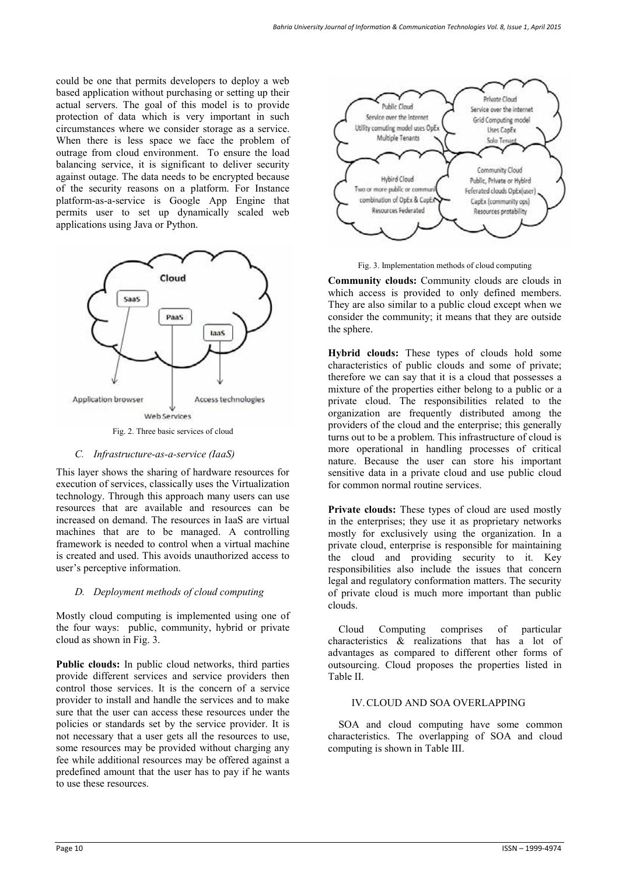could be one that permits developers to deploy a web based application without purchasing or setting up their actual servers. The goal of this model is to provide protection of data which is very important in such circumstances where we consider storage as a service. When there is less space we face the problem of outrage from cloud environment. To ensure the load balancing service, it is significant to deliver security against outage. The data needs to be encrypted because of the security reasons on a platform. For Instance platform-as-a-service is Google App Engine that permits user to set up dynamically scaled web applications using Java or Python.



#### *C. Infrastructure-as-a-service (IaaS)*

This layer shows the sharing of hardware resources for execution of services, classically uses the Virtualization technology. Through this approach many users can use resources that are available and resources can be increased on demand. The resources in IaaS are virtual machines that are to be managed. A controlling framework is needed to control when a virtual machine is created and used. This avoids unauthorized access to user's perceptive information.

#### *D. Deployment methods of cloud computing*

Mostly cloud computing is implemented using one of the four ways: public, community, hybrid or private cloud as shown in Fig. 3.

**Public clouds:** In public cloud networks, third parties provide different services and service providers then control those services. It is the concern of a service provider to install and handle the services and to make sure that the user can access these resources under the policies or standards set by the service provider. It is not necessary that a user gets all the resources to use, some resources may be provided without charging any fee while additional resources may be offered against a predefined amount that the user has to pay if he wants to use these resources.



Fig. 3. Implementation methods of cloud computing

**Community clouds:** Community clouds are clouds in which access is provided to only defined members. They are also similar to a public cloud except when we consider the community; it means that they are outside the sphere.

**Hybrid clouds:** These types of clouds hold some characteristics of public clouds and some of private; therefore we can say that it is a cloud that possesses a mixture of the properties either belong to a public or a private cloud. The responsibilities related to the organization are frequently distributed among the providers of the cloud and the enterprise; this generally turns out to be a problem. This infrastructure of cloud is more operational in handling processes of critical nature. Because the user can store his important sensitive data in a private cloud and use public cloud for common normal routine services.

**Private clouds:** These types of cloud are used mostly in the enterprises; they use it as proprietary networks mostly for exclusively using the organization. In a private cloud, enterprise is responsible for maintaining the cloud and providing security to it. Key responsibilities also include the issues that concern legal and regulatory conformation matters. The security of private cloud is much more important than public clouds.

 Cloud Computing comprises of particular characteristics & realizations that has a lot of advantages as compared to different other forms of outsourcing. Cloud proposes the properties listed in Table II.

## IV.CLOUD AND SOA OVERLAPPING

 SOA and cloud computing have some common characteristics. The overlapping of SOA and cloud computing is shown in Table III.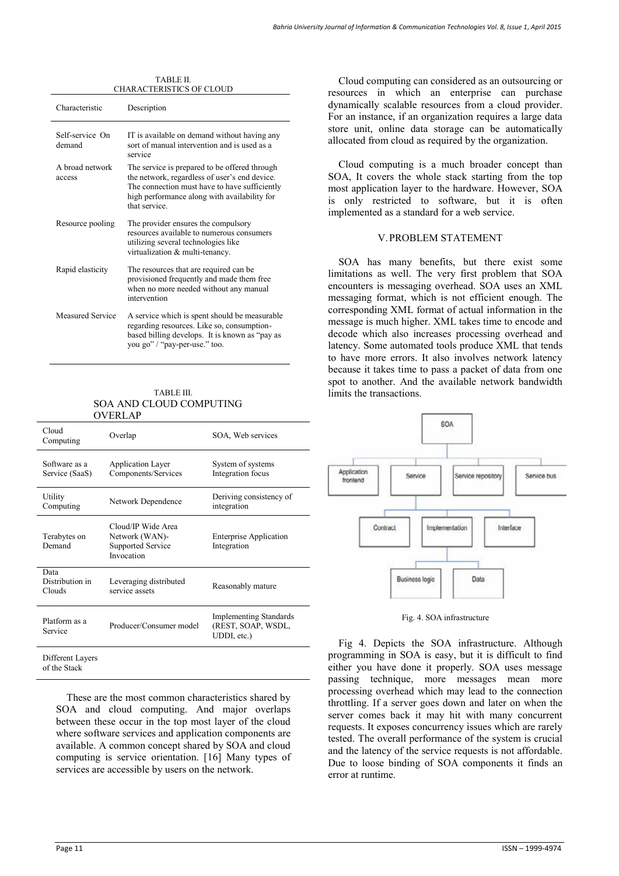| Bahria University Journal of Information & Communication Technologies Vol. 8, Issue 1, April 2015 |  |
|---------------------------------------------------------------------------------------------------|--|
|---------------------------------------------------------------------------------------------------|--|

| CHARAC LENISTICS OF CLOUD |                                                                                                                                                                                                                 |  |  |  |
|---------------------------|-----------------------------------------------------------------------------------------------------------------------------------------------------------------------------------------------------------------|--|--|--|
| Characteristic            | Description                                                                                                                                                                                                     |  |  |  |
| Self-service On<br>demand | IT is available on demand without having any<br>sort of manual intervention and is used as a<br>service                                                                                                         |  |  |  |
| A broad network<br>access | The service is prepared to be offered through<br>the network, regardless of user's end device.<br>The connection must have to have sufficiently<br>high performance along with availability for<br>that service |  |  |  |
| Resource pooling          | The provider ensures the compulsory<br>resources available to numerous consumers<br>utilizing several technologies like<br>virtualization & multi-tenancy.                                                      |  |  |  |
| Rapid elasticity          | The resources that are required can be.<br>provisioned frequently and made them free<br>when no more needed without any manual<br>intervention                                                                  |  |  |  |
| <b>Measured Service</b>   | A service which is spent should be measurable.<br>regarding resources. Like so, consumption-<br>based billing develops. It is known as "pay as<br>you go" / "pay-per-use." too.                                 |  |  |  |

## TABLE II. CHARACTERISTICS OF CLOUD

#### TABLE III. SOA AND CLOUD COMPUTING OVERLAP

| Cloud<br>Computing                | Overlap                                                                 | SOA, Web services                                                  |
|-----------------------------------|-------------------------------------------------------------------------|--------------------------------------------------------------------|
| Software as a<br>Service (SaaS)   | <b>Application Layer</b><br>Components/Services                         | System of systems<br>Integration focus                             |
| Utility<br>Computing              | Network Dependence                                                      | Deriving consistency of<br>integration                             |
| Terabytes on<br>Demand            | Cloud/IP Wide Area<br>Network (WAN)-<br>Supported Service<br>Invocation | <b>Enterprise Application</b><br>Integration                       |
| Data<br>Distribution in<br>Clouds | Leveraging distributed<br>service assets                                | Reasonably mature                                                  |
| Platform as a<br>Service          | Producer/Consumer model                                                 | <b>Implementing Standards</b><br>(REST, SOAP, WSDL,<br>UDDI, etc.) |
| Different Layers<br>of the Stack  |                                                                         |                                                                    |

 These are the most common characteristics shared by SOA and cloud computing. And major overlaps between these occur in the top most layer of the cloud where software services and application components are available. A common concept shared by SOA and cloud computing is service orientation. [16] Many types of services are accessible by users on the network.

 Cloud computing can considered as an outsourcing or resources in which an enterprise can purchase dynamically scalable resources from a cloud provider. For an instance, if an organization requires a large data store unit, online data storage can be automatically allocated from cloud as required by the organization.

 Cloud computing is a much broader concept than SOA, It covers the whole stack starting from the top most application layer to the hardware. However, SOA is only restricted to software, but it is often implemented as a standard for a web service.

#### V.PROBLEM STATEMENT

 SOA has many benefits, but there exist some limitations as well. The very first problem that SOA encounters is messaging overhead. SOA uses an XML messaging format, which is not efficient enough. The corresponding XML format of actual information in the message is much higher. XML takes time to encode and decode which also increases processing overhead and latency. Some automated tools produce XML that tends to have more errors. It also involves network latency because it takes time to pass a packet of data from one spot to another. And the available network bandwidth limits the transactions.



Fig. 4. SOA infrastructure

 Fig 4. Depicts the SOA infrastructure. Although programming in SOA is easy, but it is difficult to find either you have done it properly. SOA uses message passing technique, more messages mean more processing overhead which may lead to the connection throttling. If a server goes down and later on when the server comes back it may hit with many concurrent requests. It exposes concurrency issues which are rarely tested. The overall performance of the system is crucial and the latency of the service requests is not affordable. Due to loose binding of SOA components it finds an error at runtime.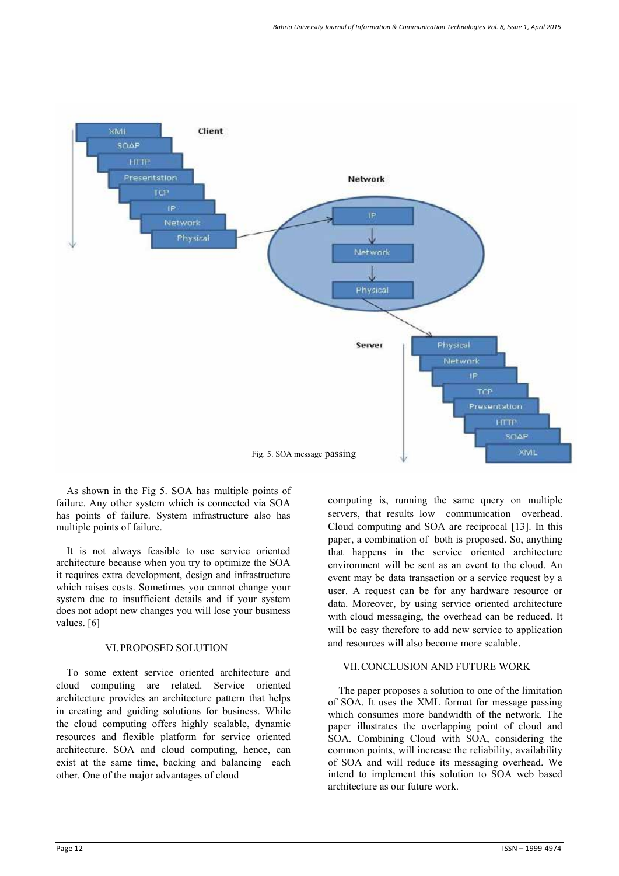

As shown in the Fig 5. SOA has multiple points of failure. Any other system which is connected via SOA has points of failure. System infrastructure also has multiple points of failure.

 It is not always feasible to use service oriented architecture because when you try to optimize the SOA it requires extra development, design and infrastructure which raises costs. Sometimes you cannot change your system due to insufficient details and if your system does not adopt new changes you will lose your business values. [6]

#### VI.PROPOSED SOLUTION

 To some extent service oriented architecture and cloud computing are related. Service oriented architecture provides an architecture pattern that helps in creating and guiding solutions for business. While the cloud computing offers highly scalable, dynamic resources and flexible platform for service oriented architecture. SOA and cloud computing, hence, can exist at the same time, backing and balancing each other. One of the major advantages of cloud

computing is, running the same query on multiple servers, that results low communication overhead. Cloud computing and SOA are reciprocal [13]. In this paper, a combination of both is proposed. So, anything that happens in the service oriented architecture environment will be sent as an event to the cloud. An event may be data transaction or a service request by a user. A request can be for any hardware resource or data. Moreover, by using service oriented architecture with cloud messaging, the overhead can be reduced. It will be easy therefore to add new service to application and resources will also become more scalable.

### VII.CONCLUSION AND FUTURE WORK

 The paper proposes a solution to one of the limitation of SOA. It uses the XML format for message passing which consumes more bandwidth of the network. The paper illustrates the overlapping point of cloud and SOA. Combining Cloud with SOA, considering the common points, will increase the reliability, availability of SOA and will reduce its messaging overhead. We intend to implement this solution to SOA web based architecture as our future work.